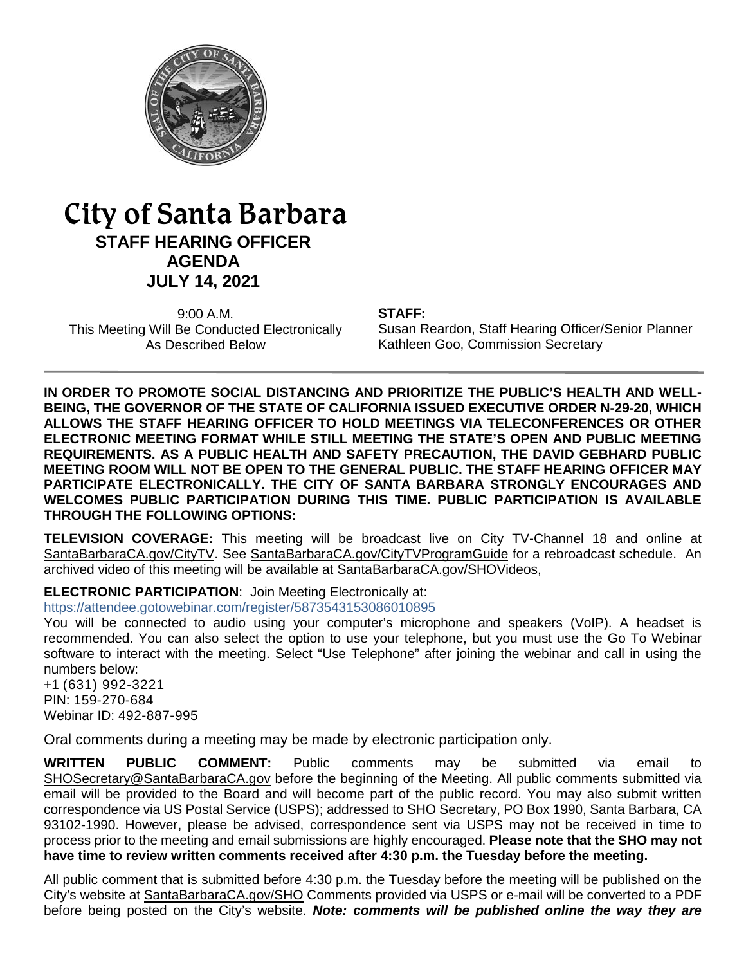

# City of Santa Barbara **STAFF HEARING OFFICER AGENDA JULY 14, 2021**

9:00 A.M. This Meeting Will Be Conducted Electronically As Described Below

#### **STAFF:**

Susan Reardon, Staff Hearing Officer/Senior Planner Kathleen Goo, Commission Secretary

**IN ORDER TO PROMOTE SOCIAL DISTANCING AND PRIORITIZE THE PUBLIC'S HEALTH AND WELL-BEING, THE GOVERNOR OF THE STATE OF CALIFORNIA ISSUED EXECUTIVE ORDER N-29-20, WHICH ALLOWS THE STAFF HEARING OFFICER TO HOLD MEETINGS VIA TELECONFERENCES OR OTHER ELECTRONIC MEETING FORMAT WHILE STILL MEETING THE STATE'S OPEN AND PUBLIC MEETING REQUIREMENTS. AS A PUBLIC HEALTH AND SAFETY PRECAUTION, THE DAVID GEBHARD PUBLIC MEETING ROOM WILL NOT BE OPEN TO THE GENERAL PUBLIC. THE STAFF HEARING OFFICER MAY PARTICIPATE ELECTRONICALLY. THE CITY OF SANTA BARBARA STRONGLY ENCOURAGES AND WELCOMES PUBLIC PARTICIPATION DURING THIS TIME. PUBLIC PARTICIPATION IS AVAILABLE THROUGH THE FOLLOWING OPTIONS:**

**TELEVISION COVERAGE:** This meeting will be broadcast live on City TV-Channel 18 and online at [SantaBarbaraCA.gov/CityTV.](http://www.santabarbaraca.gov/CityTV) See [SantaBarbaraCA.gov/CityTVProgramGuide](http://www.santabarbaraca.gov/CityTVProgramGuide) for a rebroadcast schedule. An archived video of this meeting will be available at [SantaBarbaraCA.gov/SHOVideos,](http://www.santabarbaraca.gov/SHOVideos)

**ELECTRONIC PARTICIPATION**: Join Meeting Electronically at:

<https://attendee.gotowebinar.com/register/5873543153086010895>

You will be connected to audio using your computer's microphone and speakers (VoIP). A headset is recommended. You can also select the option to use your telephone, but you must use the Go To Webinar software to interact with the meeting. Select "Use Telephone" after joining the webinar and call in using the numbers below:

+1 (631) 992-3221 PIN: 159-270-684 Webinar ID: 492-887-995

Oral comments during a meeting may be made by electronic participation only.

**WRITTEN PUBLIC COMMENT:** Public comments may be submitted via email to [SHOSecretary@SantaBarbaraCA.gov](mailto:SHOSecretary@SantaBarbaraCA.gov) before the beginning of the Meeting. All public comments submitted via email will be provided to the Board and will become part of the public record. You may also submit written correspondence via US Postal Service (USPS); addressed to SHO Secretary, PO Box 1990, Santa Barbara, CA 93102-1990. However, please be advised, correspondence sent via USPS may not be received in time to process prior to the meeting and email submissions are highly encouraged. **Please note that the SHO may not have time to review written comments received after 4:30 p.m. the Tuesday before the meeting.**

All public comment that is submitted before 4:30 p.m. the Tuesday before the meeting will be published on the City's website at [SantaBarbaraCA.gov/SHO](http://www.santabarbaraca.gov/SHO) Comments provided via USPS or e-mail will be converted to a PDF before being posted on the City's website. *Note: comments will be published online the way they are*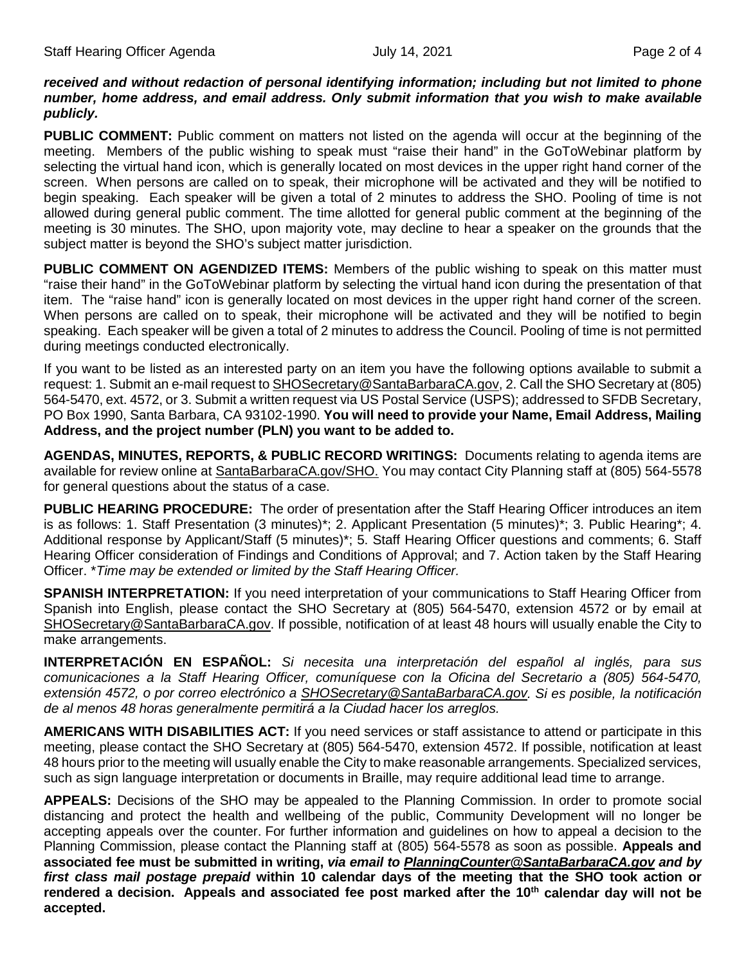#### *received and without redaction of personal identifying information; including but not limited to phone number, home address, and email address. Only submit information that you wish to make available publicly.*

**PUBLIC COMMENT:** Public comment on matters not listed on the agenda will occur at the beginning of the meeting. Members of the public wishing to speak must "raise their hand" in the GoToWebinar platform by selecting the virtual hand icon, which is generally located on most devices in the upper right hand corner of the screen. When persons are called on to speak, their microphone will be activated and they will be notified to begin speaking. Each speaker will be given a total of 2 minutes to address the SHO. Pooling of time is not allowed during general public comment. The time allotted for general public comment at the beginning of the meeting is 30 minutes. The SHO, upon majority vote, may decline to hear a speaker on the grounds that the subject matter is beyond the SHO's subject matter jurisdiction.

**PUBLIC COMMENT ON AGENDIZED ITEMS:** Members of the public wishing to speak on this matter must "raise their hand" in the GoToWebinar platform by selecting the virtual hand icon during the presentation of that item. The "raise hand" icon is generally located on most devices in the upper right hand corner of the screen. When persons are called on to speak, their microphone will be activated and they will be notified to begin speaking. Each speaker will be given a total of 2 minutes to address the Council. Pooling of time is not permitted during meetings conducted electronically.

If you want to be listed as an interested party on an item you have the following options available to submit a request: 1. Submit an e-mail request t[o SHOSecretary@SantaBarbaraCA.gov,](mailto:SHOSecretary@SantaBarbaraCA.gov) 2. Call the SHO Secretary at (805) 564-5470, ext. 4572, or 3. Submit a written request via US Postal Service (USPS); addressed to SFDB Secretary, PO Box 1990, Santa Barbara, CA 93102-1990. **You will need to provide your Name, Email Address, Mailing Address, and the project number (PLN) you want to be added to.**

**AGENDAS, MINUTES, REPORTS, & PUBLIC RECORD WRITINGS:** Documents relating to agenda items are available for review online at [SantaBarbaraCA.gov/SHO.](http://www.santabarbaraca.gov/SHO) You may contact City Planning staff at (805) 564-5578 for general questions about the status of a case.

**PUBLIC HEARING PROCEDURE:** The order of presentation after the Staff Hearing Officer introduces an item is as follows: 1. Staff Presentation (3 minutes)\*; 2. Applicant Presentation (5 minutes)\*; 3. Public Hearing\*; 4. Additional response by Applicant/Staff (5 minutes)\*; 5. Staff Hearing Officer questions and comments; 6. Staff Hearing Officer consideration of Findings and Conditions of Approval; and 7. Action taken by the Staff Hearing Officer. \**Time may be extended or limited by the Staff Hearing Officer.*

**SPANISH INTERPRETATION:** If you need interpretation of your communications to Staff Hearing Officer from Spanish into English, please contact the SHO Secretary at (805) 564-5470, extension 4572 or by email at [SHOSecretary@SantaBarbaraCA.gov.](mailto:SHOSecretary@SantaBarbaraCA.gov) If possible, notification of at least 48 hours will usually enable the City to make arrangements.

**INTERPRETACIÓN EN ESPAÑOL:** *Si necesita una interpretación del español al inglés, para sus comunicaciones a la Staff Hearing Officer, comuníquese con la Oficina del Secretario a (805) 564-5470, extensión 4572, o por correo electrónico a [SHOSecretary@SantaBarbaraCA.gov.](mailto:SHOSecretary@SantaBarbaraCA.gov) Si es posible, la notificación de al menos 48 horas generalmente permitirá a la Ciudad hacer los arreglos.*

**AMERICANS WITH DISABILITIES ACT:** If you need services or staff assistance to attend or participate in this meeting, please contact the SHO Secretary at (805) 564-5470, extension 4572. If possible, notification at least 48 hours prior to the meeting will usually enable the City to make reasonable arrangements. Specialized services, such as sign language interpretation or documents in Braille, may require additional lead time to arrange.

**APPEALS:** Decisions of the SHO may be appealed to the Planning Commission. In order to promote social distancing and protect the health and wellbeing of the public, Community Development will no longer be accepting appeals over the counter. For further information and guidelines on how to appeal a decision to the Planning Commission, please contact the Planning staff at (805) 564-5578 as soon as possible. **Appeals and associated fee must be submitted in writing,** *via email to [PlanningCounter@SantaBarbaraCA.gov](mailto:PlanningCounter@SantaBarbaraCA.gov) and by first class mail postage prepaid* **within 10 calendar days of the meeting that the SHO took action or**  rendered a decision. Appeals and associated fee post marked after the 10<sup>th</sup> calendar day will not be **accepted.**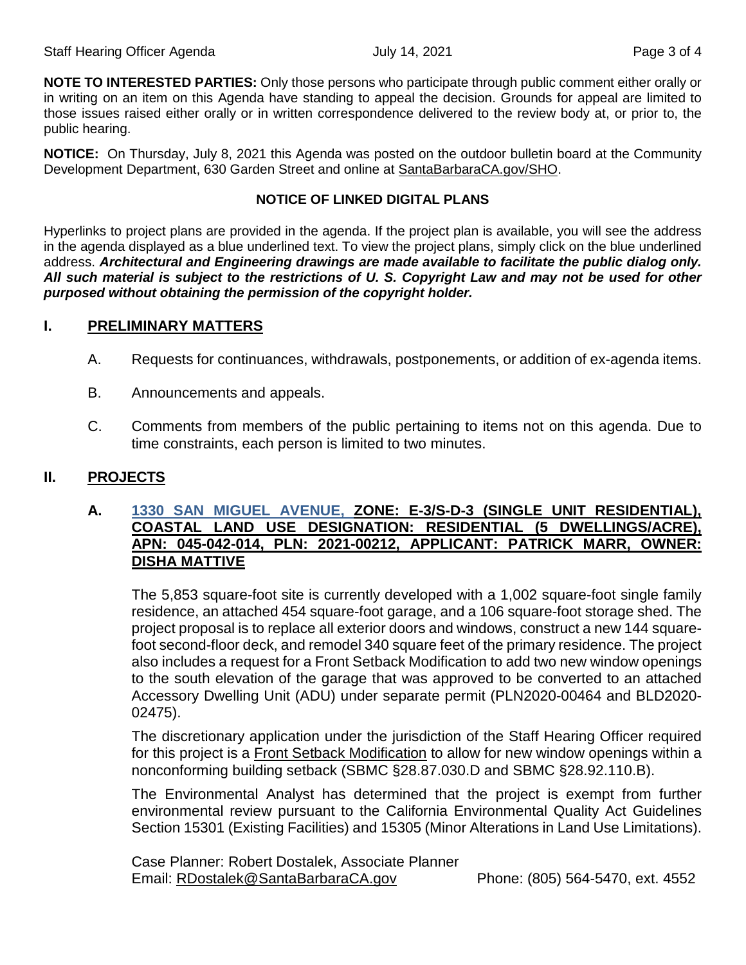**NOTE TO INTERESTED PARTIES:** Only those persons who participate through public comment either orally or in writing on an item on this Agenda have standing to appeal the decision. Grounds for appeal are limited to those issues raised either orally or in written correspondence delivered to the review body at, or prior to, the public hearing.

**NOTICE:** On Thursday, July 8, 2021 this Agenda was posted on the outdoor bulletin board at the Community Development Department, 630 Garden Street and online at [SantaBarbaraCA.gov/SHO.](http://www.santabarbaraca.gov/SHO)

## **NOTICE OF LINKED DIGITAL PLANS**

Hyperlinks to project plans are provided in the agenda. If the project plan is available, you will see the address in the agenda displayed as a blue underlined text. To view the project plans, simply click on the blue underlined address. *Architectural and Engineering drawings are made available to facilitate the public dialog only. All such material is subject to the restrictions of U. S. Copyright Law and may not be used for other purposed without obtaining the permission of the copyright holder.*

## **I. PRELIMINARY MATTERS**

- A. Requests for continuances, withdrawals, postponements, or addition of ex-agenda items.
- B. Announcements and appeals.
- C. Comments from members of the public pertaining to items not on this agenda. Due to time constraints, each person is limited to two minutes.

## **II. PROJECTS**

## **A. [1330 SAN MIGUEL AVENUE,](https://www.santabarbaraca.gov/civicax/filebank/blobdload.aspx?BlobID=237590) ZONE: E-3/S-D-3 (SINGLE UNIT RESIDENTIAL), COASTAL LAND USE DESIGNATION: RESIDENTIAL (5 DWELLINGS/ACRE), APN: 045-042-014, PLN: 2021-00212, APPLICANT: PATRICK MARR, OWNER: DISHA MATTIVE**

The 5,853 square-foot site is currently developed with a 1,002 square-foot single family residence, an attached 454 square-foot garage, and a 106 square-foot storage shed. The project proposal is to replace all exterior doors and windows, construct a new 144 squarefoot second-floor deck, and remodel 340 square feet of the primary residence. The project also includes a request for a Front Setback Modification to add two new window openings to the south elevation of the garage that was approved to be converted to an attached Accessory Dwelling Unit (ADU) under separate permit (PLN2020-00464 and BLD2020- 02475).

The discretionary application under the jurisdiction of the Staff Hearing Officer required for this project is a Front Setback Modification to allow for new window openings within a nonconforming building setback (SBMC §28.87.030.D and SBMC §28.92.110.B).

The Environmental Analyst has determined that the project is exempt from further environmental review pursuant to the California Environmental Quality Act Guidelines Section 15301 (Existing Facilities) and 15305 (Minor Alterations in Land Use Limitations).

Case Planner: Robert Dostalek, Associate Planner Email: [RDostalek@SantaBarbaraCA.gov](mailto:RDostalek@SantaBarbaraCA.gov) Phone: (805) 564-5470, ext. 4552